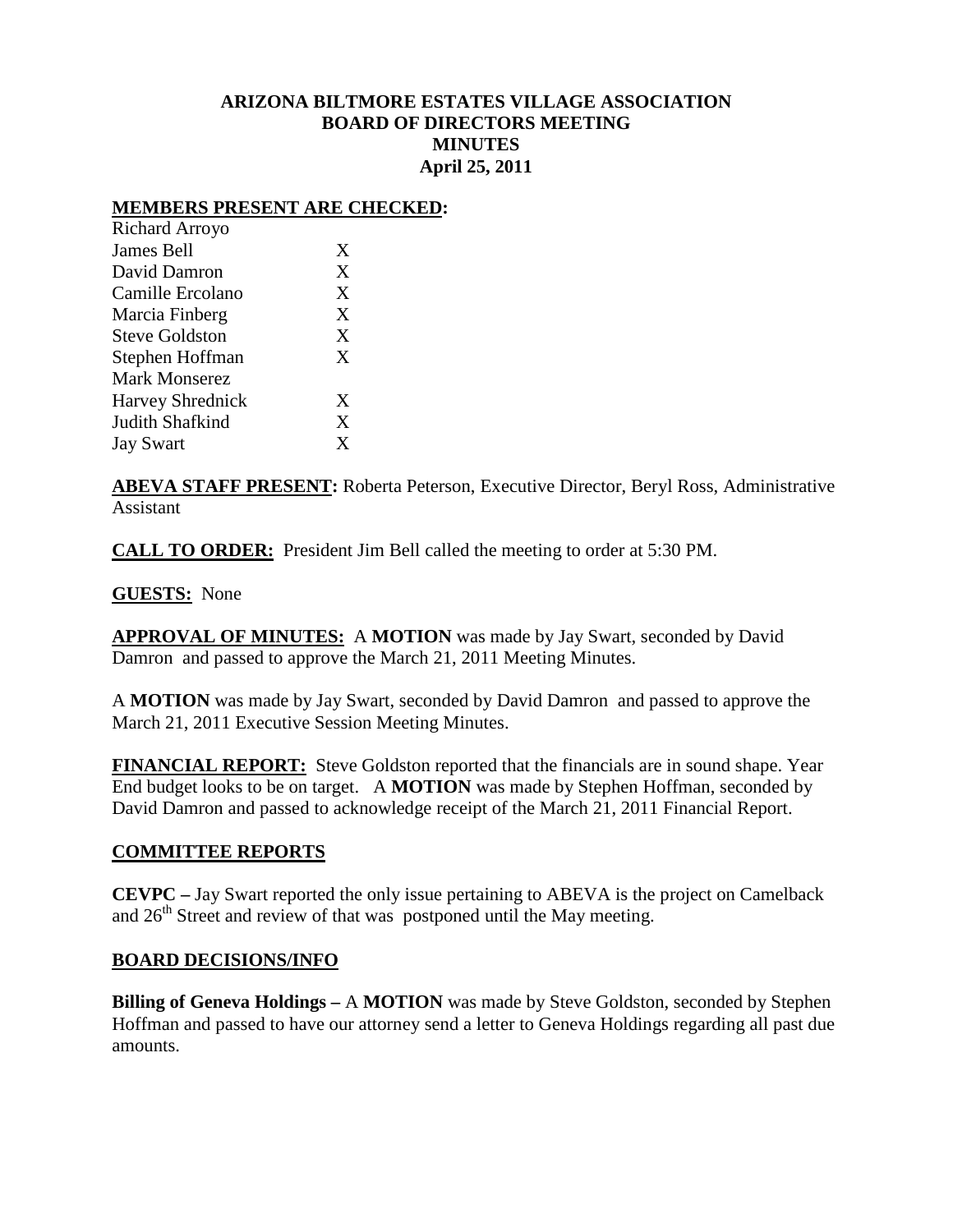# **ARIZONA BILTMORE ESTATES VILLAGE ASSOCIATION BOARD OF DIRECTORS MEETING MINUTES April 25, 2011**

### **MEMBERS PRESENT ARE CHECKED:**

| Richard Arroyo          |   |
|-------------------------|---|
| James Bell              | X |
| David Damron            | X |
| Camille Ercolano        | X |
| Marcia Finberg          | X |
| <b>Steve Goldston</b>   | X |
| Stephen Hoffman         | X |
| <b>Mark Monserez</b>    |   |
| <b>Harvey Shrednick</b> | X |
| Judith Shafkind         | X |
| <b>Jay Swart</b>        | X |
|                         |   |

**ABEVA STAFF PRESENT:** Roberta Peterson, Executive Director, Beryl Ross, Administrative Assistant

**CALL TO ORDER:** President Jim Bell called the meeting to order at 5:30 PM.

## **GUESTS:** None

**APPROVAL OF MINUTES:** A **MOTION** was made by Jay Swart, seconded by David Damron and passed to approve the March 21, 2011 Meeting Minutes.

A **MOTION** was made by Jay Swart, seconded by David Damron and passed to approve the March 21, 2011 Executive Session Meeting Minutes.

**FINANCIAL REPORT:** Steve Goldston reported that the financials are in sound shape. Year End budget looks to be on target. A **MOTION** was made by Stephen Hoffman, seconded by David Damron and passed to acknowledge receipt of the March 21, 2011 Financial Report.

## **COMMITTEE REPORTS**

**CEVPC –** Jay Swart reported the only issue pertaining to ABEVA is the project on Camelback and  $26<sup>th</sup>$  Street and review of that was postponed until the May meeting.

## **BOARD DECISIONS/INFO**

**Billing of Geneva Holdings –** A **MOTION** was made by Steve Goldston, seconded by Stephen Hoffman and passed to have our attorney send a letter to Geneva Holdings regarding all past due amounts.